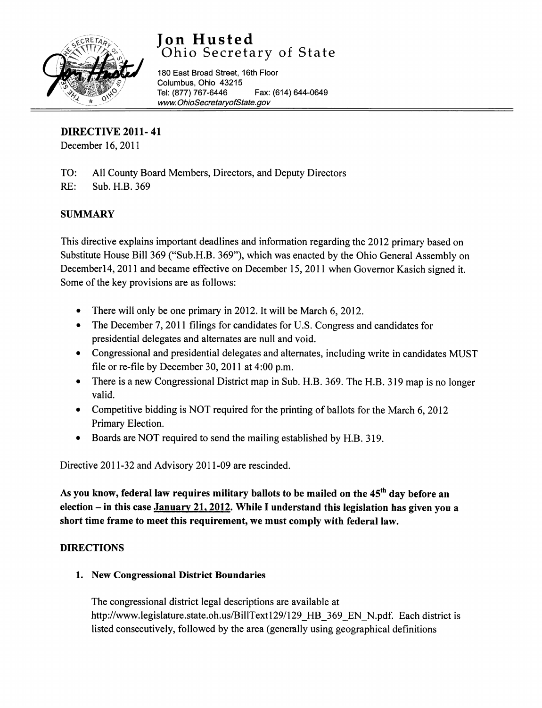

# Jon Husted Ohio Secretary of State

180 East Broad Street, 16th Floor Columbus, Ohio 43215 Tel: (877) 767-6446 Fax: (614) 644-0649 [www.OhioSecretaryofState.gov](http://www.OhioSecretaryofState.gov)

DIRECTIVE 2011- 41

December 16, 2011

- TO: All County Board Members, Directors, and Deputy Directors
- RE: Sub. H.B. 369

# **SUMMARY**

This directive explains important deadlines and information regarding the 2012 primary based on Substitute House Bill 369 ("Sub.H.B. 369"), which was enacted by the Ohio General Assembly on December14, 2011 and became effective on December 15,2011 when Governor Kasich signed it. Some of the key provisions are as follows:

- There will only be one primary in 2012. It will be March 6, 2012.
- The December 7, 2011 filings for candidates for U.S. Congress and candidates for presidential delegates and alternates are null and void.
- Congressional and presidential delegates and alternates, including write in candidates MUST file or re-file by December 30,2011 at 4:00 p.m.
- There is a new Congressional District map in Sub. H.B. 369. The H.B. 319 map is no longer valid.
- Competitive bidding is NOT required for the printing of ballots for the March 6, 2012 Primary Election.
- Boards are NOT required to send the mailing established by H.B. 319.

Directive 2011-32 and Advisory 2011-09 are rescinded.

As you know, federal law requires military ballots to be mailed on the 45<sup>th</sup> day before an election  $-$  in this case January 21, 2012. While I understand this legislation has given you a short time frame to meet this requirement, we must comply with federal law.

# DIRECTIONS

# 1. New Congressional District Boundaries

The congressional district legal descriptions are available at http://www.legislature.state.oh.us/BillText129/129 HB 369 EN N.pdf. Each district is listed consecutively, followed by the area (generally using geographical definitions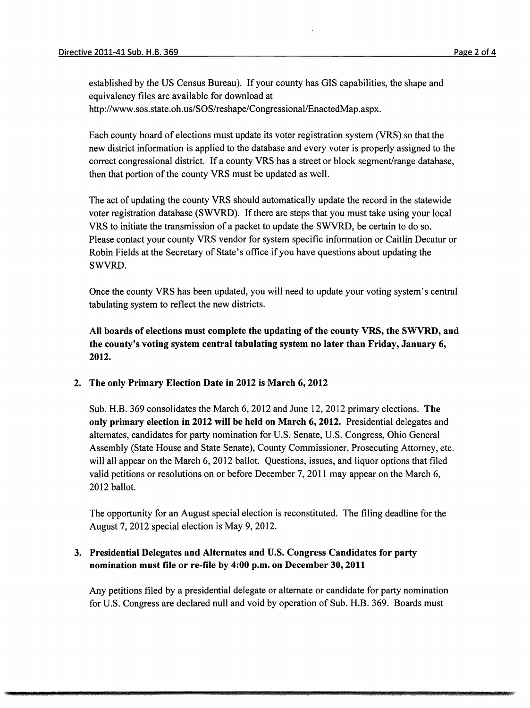=

established by the US Census Bureau). If your county has GIS capabilities, the shape and equivalency files are available for download at http://www.sos.state.oh.us/SOS/reshape/Congressional/EnactedMap.aspx.

Each county board of elections must update its voter registration system (VRS) so that the new district information is applied to the database and every voter is properly assigned to the correct congressional district. If a county VRS has a street or block segment/range database, then that portion of the county VRS must be updated as well.

The act of updating the county VRS should automatically update the record in the statewide voter registration database (SWVRD). If there are steps that you must take using your local VRS to initiate the transmission of a packet to update the SWVRD, be certain to do so. Please contact your county VRS vendor for system specific information or Caitlin Decatur or Robin Fields at the Secretary of State's office if you have questions about updating the SWVRD.

Once the county VRS has been updated, you will need to update your voting system's central tabulating system to reflect the new districts.

All boards of elections must complete the updating of the county VRS, the SWVRD, and the county's voting system central tabulating system no later than Friday, January 6, 2012.

#### 2. The only Primary Election Date in 2012 is March 6, 2012

Sub. H.B. 369 consolidates the March 6, 2012 and June 12,2012 primary elections. The only primary election in 2012 will be held on March 6, 2012. Presidential delegates and alternates, candidates for party nomination for U.S. Senate, U.S. Congress, Ohio General Assembly (State House and State Senate), County Commissioner, Prosecuting Attorney, etc. will all appear on the March 6, 2012 ballot. Questions, issues, and liquor options that filed valid petitions or resolutions on or before December 7,2011 may appear on the March 6, 2012 ballot.

The opportunity for an August special election is reconstituted. The filing deadline for the August 7,2012 special election is May 9, 2012.

### 3. Presidential Delegates and Alternates and U.S. Congress Candidates for party nomination must file or re-file by 4:00 p.m. on December 30, 2011

Any petitions filed by a presidential delegate or alternate or candidate for party nomination for U.S. Congress are declared null and void by operation of Sub. H.B. 369. Boards must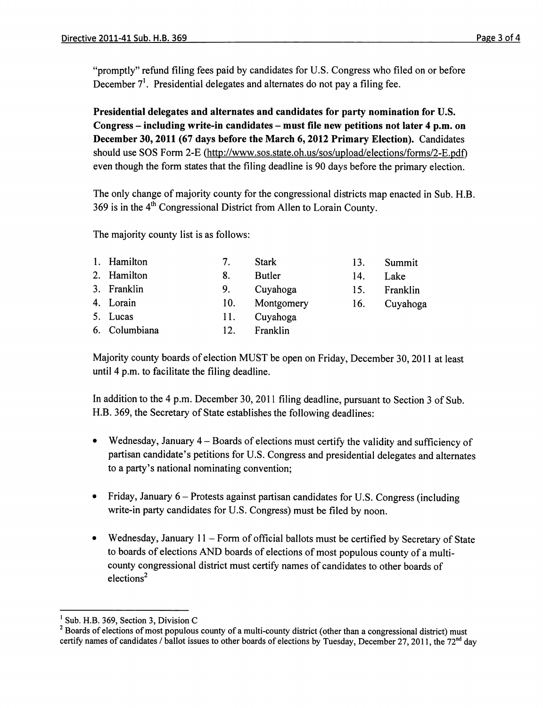December 7<sup>1</sup>. Presidential delegates and alternates do not pay a filing fee. "promptly" refund filing fees paid by candidates for U.S. Congress who filed on or before

Presidential delegates and alternates and candidates for party nomination for U.S. Congress - including write-in candidates - must file new petitions not later 4 p.m. on December 30, 2011 (67 days before the March 6,2012 Primary Election). Candidates should use SOS Form 2-E (http://www.sos.state.oh.us/sos/upload/elections/forms/2-E.pdf) even though the form states that the filing deadline is 90 days before the primary election.

The only change of majority county for the congressional districts map enacted in Sub. H.B. 369 is in the  $4<sup>th</sup>$  Congressional District from Allen to Lorain County.

The majority county list is as follows:

| 1. Hamilton   | 7.  | <b>Stark</b>  | 13. | Summit   |
|---------------|-----|---------------|-----|----------|
| 2. Hamilton   | 8.  | <b>Butler</b> | 14. | Lake     |
| 3. Franklin   | 9.  | Cuyahoga      | 15. | Franklin |
| 4. Lorain     | 10. | Montgomery    | 16. | Cuyahoga |
| 5. Lucas      | 11. | Cuyahoga      |     |          |
| 6. Columbiana | 12. | Franklin      |     |          |

Majority county boards of election MUST be open on Friday, December 30, 2011 at least until 4 p.m. to facilitate the filing deadline.

In addition to the 4 p.m. December 30,2011 filing deadline, pursuant to Section 3 of Sub. H.B. 369, the Secretary of State establishes the following deadlines:

- Wednesday, January 4 Boards of elections must certify the validity and sufficiency of partisan candidate's petitions for U.S. Congress and presidential delegates and alternates to a party's national nominating convention;
- Friday, January  $6$  Protests against partisan candidates for U.S. Congress (including write-in party candidates for U.S. Congress) must be filed by noon.
- Wednesday, January 11 Form of official ballots must be certified by Secretary of State to boards of elections AND boards of elections of most populous county of a multicounty congressional district must certify names of candidates to other boards of elections2

 $<sup>1</sup>$  Sub. H.B. 369, Section 3, Division C</sup>

 $2$  Boards of elections of most populous county of a multi-county district (other than a congressional district) must certify names of candidates / ballot issues to other boards of elections by Tuesday, December 27, 2011, the  $72<sup>nd</sup>$  day